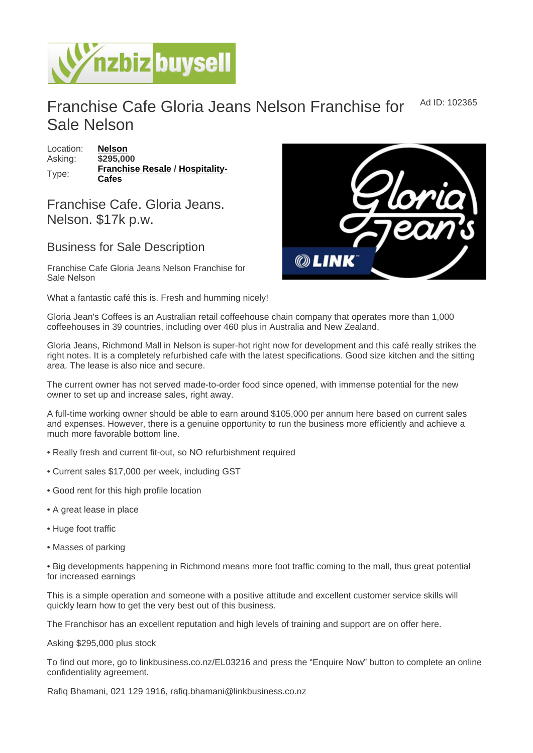## Franchise Cafe Gloria Jeans Nelson Franchise for Sale Nelson Ad ID: 102365

Location: [Nelson](https://www.nzbizbuysell.co.nz/businesses-for-sale/location/Nelson) Asking: \$295,000 Type: [Franchise Resale](https://www.nzbizbuysell.co.nz/businesses-for-sale/Franchise-Resale/New-Zealand) / [Hospitality-](https://www.nzbizbuysell.co.nz/businesses-for-sale/Cafes/New-Zealand)[Cafes](https://www.nzbizbuysell.co.nz/businesses-for-sale/Cafes/New-Zealand)

Franchise Cafe. Gloria Jeans. Nelson. \$17k p.w.

## Business for Sale Description

Franchise Cafe Gloria Jeans Nelson Franchise for Sale Nelson

What a fantastic café this is. Fresh and humming nicely!

Gloria Jean's Coffees is an Australian retail coffeehouse chain company that operates more than 1,000 coffeehouses in 39 countries, including over 460 plus in Australia and New Zealand.

Gloria Jeans, Richmond Mall in Nelson is super-hot right now for development and this café really strikes the right notes. It is a completely refurbished cafe with the latest specifications. Good size kitchen and the sitting area. The lease is also nice and secure.

The current owner has not served made-to-order food since opened, with immense potential for the new owner to set up and increase sales, right away.

A full-time working owner should be able to earn around \$105,000 per annum here based on current sales and expenses. However, there is a genuine opportunity to run the business more efficiently and achieve a much more favorable bottom line.

- Really fresh and current fit-out, so NO refurbishment required
- Current sales \$17,000 per week, including GST
- Good rent for this high profile location
- A great lease in place
- Huge foot traffic
- Masses of parking

• Big developments happening in Richmond means more foot traffic coming to the mall, thus great potential for increased earnings

This is a simple operation and someone with a positive attitude and excellent customer service skills will quickly learn how to get the very best out of this business.

The Franchisor has an excellent reputation and high levels of training and support are on offer here.

Asking \$295,000 plus stock

To find out more, go to linkbusiness.co.nz/EL03216 and press the "Enquire Now" button to complete an online confidentiality agreement.

Rafiq Bhamani, 021 129 1916, rafiq.bhamani@linkbusiness.co.nz